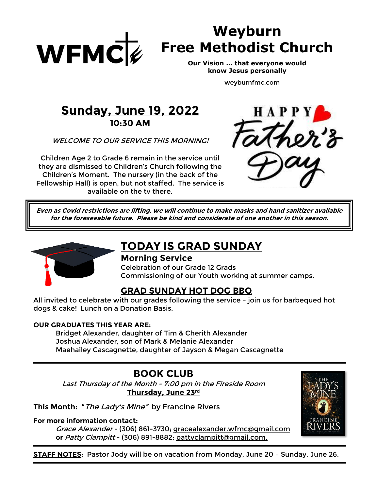

# **Weyburn Free Methodist Church**

**Our Vision … that everyone would know Jesus personally**

[weyburnfmc.com](http://www.weyburnfmc.com/)

## **Sunday, June 19, 2022 10:30 AM**

WELCOME TO OUR SERVICE THIS MORNING!

Children Age 2 to Grade 6 remain in the service until they are dismissed to Children's Church following the Children's Moment. The nursery (in the back of the Fellowship Hall) is open, but not staffed. The service is available on the tv there.



**Even as Covid restrictions are lifting, we will continue to make masks and hand sanitizer available for the foreseeable future. Please be kind and considerate of one another in this season.**



## **TODAY IS GRAD SUNDAY**

#### **Morning Service**

Celebration of our Grade 12 Grads Commissioning of our Youth working at summer camps.

### **GRAD SUNDAY HOT DOG BBQ**

All invited to celebrate with our grades following the service – join us for barbequed hot dogs & cake! Lunch on a Donation Basis.

#### **OUR GRADUATES THIS YEAR ARE:**

Bridget Alexander, daughter of Tim & Cherith Alexander Joshua Alexander, son of Mark & Melanie Alexander Maehailey Cascagnette, daughter of Jayson & Megan Cascagnette

## **BOOK CLUB**

Last Thursday of the Month - 7:00 pm in the Fireside Room **Thursday, June 23rd**

**This Month: "**The Lady's Mine" by Francine Rivers

**For more information contact:**

Grace Alexander - (306) 861-3730; gracealexander.wfmc@gmail.com **or** Patty Clampitt - (306) 891-8882; [pattyclampitt@gmail.com.](mailto:pattyclampitt@gmail.com)



**STAFF NOTES**: Pastor Jody will be on vacation from Monday, June 20 – Sunday, June 26.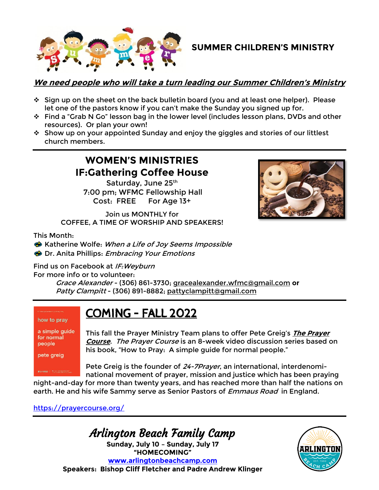

### **SUMMER CHILDREN'S MINISTRY**

#### **We need people who will take a turn leading our Summer Children's Ministry**

- ❖ Sign up on the sheet on the back bulletin board (you and at least one helper). Please let one of the pastors know if you can't make the Sunday you signed up for.
- ❖ Find a "Grab N Go" lesson bag in the lower level (includes lesson plans, DVDs and other resources). Or plan your own!
- ❖ Show up on your appointed Sunday and enjoy the giggles and stories of our littlest church members.

## **WOMEN'S MINISTRIES IF:Gathering Coffee House**

Saturday, June 25th 7:00 pm; WFMC Fellowship Hall Cost: FREE For Age 13+

Join us MONTHLY for COFFEE, A TIME OF WORSHIP AND SPEAKERS!



This Month:

**S** Katherine Wolfe: When a Life of Joy Seems Impossible **Dr. Anita Phillips: Embracing Your Emotions** 

Find us on Facebook at IF: Weyburn

For more info or to volunteer:

Grace Alexander - (306) 861-3730; [gracealexander.wfmc@gmail.com](mailto:gracealexander.wfmc@gmail.com) **or** Patty Clampitt - (306) 891-8882; [pattyclampitt@gmail.com](mailto:pattyclampitt@gmail.com)

## COMING – FALL 2022

a simple guide for normal people

how to pray

pete greig

This fall the Prayer Ministry Team plans to offer Pete Greig's **The Prayer Course**. The Prayer Course is an 8-week video discussion series based on his book, "How to Pray: A simple guide for normal people."

Pete Greig is the founder of 24-7Prayer, an international, interdenominational movement of prayer, mission and justice which has been praying

night-and-day for more than twenty years, and has reached more than half the nations on earth. He and his wife Sammy serve as Senior Pastors of *Emmaus Road* in England.

#### <https://prayercourse.org/>

## Arlington Beach Family Camp

**Sunday, July 10 – Sunday, July 17 "HOMECOMING" [www.arlingtonbeachcamp.com](http://www.arlingtonbeachcamp.com/) Speakers: Bishop Cliff Fletcher and Padre Andrew Klinger**

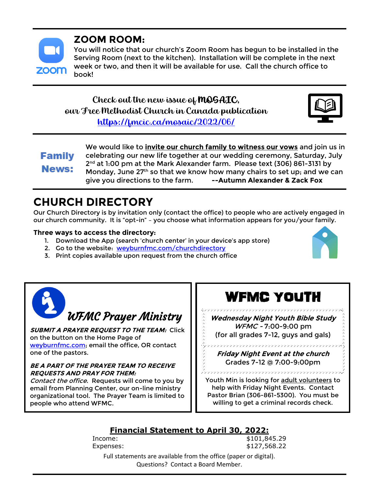

## **ZOOM ROOM:**

You will notice that our church's Zoom Room has begun to be installed in the Serving Room (next to the kitchen). Installation will be complete in the next week or two, and then it will be available for use. Call the church office to book!

## Check out the new issue of MOSAIC, our Free Methodist Church in Canada publication <https://fmcic.ca/mosaic/2022/06/>



**Family News:** 

We would like to **invite our church family to witness our vows** and join us in celebrating our new life together at our wedding ceremony, Saturday, July 2 nd at 1:00 pm at the Mark Alexander farm. Please text (306) 861-3131 by Monday, June 27<sup>th</sup> so that we know how many chairs to set up; and we can give you directions to the farm. **--Autumn Alexander & Zack Fox**

## **CHURCH DIRECTORY**

Our Church Directory is by invitation only (contact the office) to people who are actively engaged in our church community. It is "opt-in" – you choose what information appears for you/your family.

#### **Three ways to access the directory:**

- 1. Download the App (search 'church center' in your device's app store)
- 2. Go to the website: [weyburnfmc.com/churchdirectory](https://www.weyburnfmc.com/churchdirectory.html)
- 3. Print copies available upon request from the church office





**SUBMIT A PRAYER REQUEST TO THE TEAM:** Click on the button on the Home Page of [weyburnfmc.com;](https://www.weyburnfmc.com/) email the office, OR contact one of the pastors.

#### **BE A PART OF THE PRAYER TEAM TO RECEIVE REQUESTS AND PRAY FOR THEM:**

Contact the office. Requests will come to you by email from Planning Center, our on-line ministry organizational tool. The Prayer Team is limited to people who attend WFMC.

# WFMC YOUTH

**Wednesday Night Youth Bible Study** WFMC - 7:00-9:00 pm (for all grades 7-12, guys and gals)

**Friday Night Event at the church** Grades 7-12 @ 7:00-9:00pm

\*\*\*\*\*\*\*\*\*\*\*\*\*\*\*\*\*\*\*\*\*\*\*\*

Youth Min is looking for adult volunteers to help with Friday Night Events. Contact Pastor Brian (306-861-5300). You must be willing to get a criminal records check.

## **Financial Statement to April 30, 2022:**

Income: \$101,845.29 Expenses: \$127,568.22

Full statements are available from the office (paper or digital). Questions? Contact a Board Member.